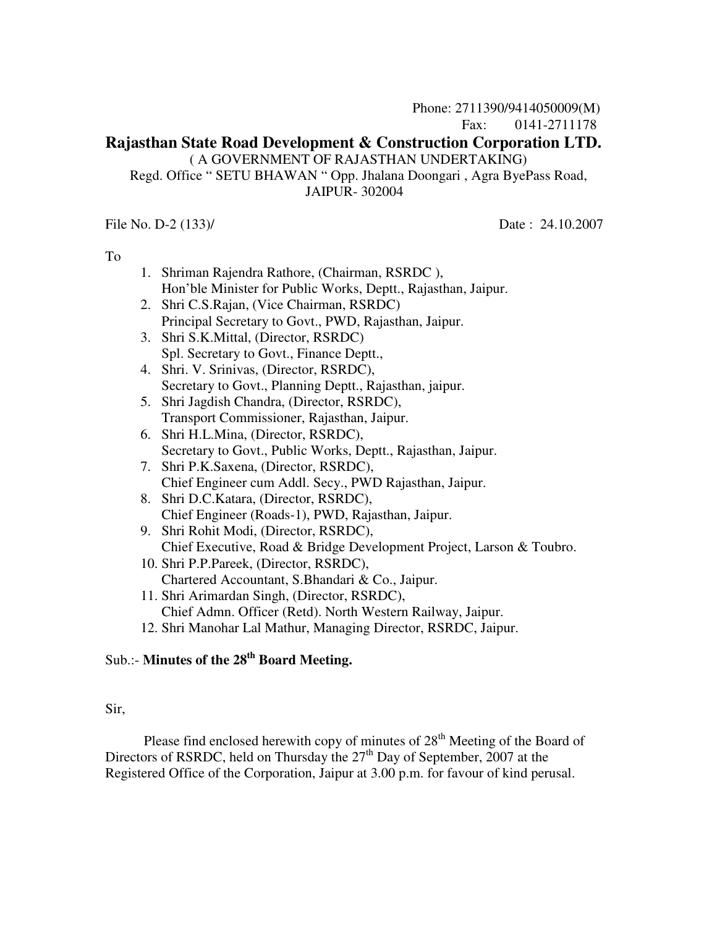#### **Rajasthan State Road Development & Construction Corporation LTD.**  ( A GOVERNMENT OF RAJASTHAN UNDERTAKING)

 Regd. Office " SETU BHAWAN " Opp. Jhalana Doongari , Agra ByePass Road, JAIPUR- 302004

File No. D-2 (133)/ Date: 24.10.2007

To

- 1. Shriman Rajendra Rathore, (Chairman, RSRDC ), Hon'ble Minister for Public Works, Deptt., Rajasthan, Jaipur.
- 2. Shri C.S.Rajan, (Vice Chairman, RSRDC) Principal Secretary to Govt., PWD, Rajasthan, Jaipur.
- 3. Shri S.K.Mittal, (Director, RSRDC) Spl. Secretary to Govt., Finance Deptt.,
- 4. Shri. V. Srinivas, (Director, RSRDC), Secretary to Govt., Planning Deptt., Rajasthan, jaipur.
- 5. Shri Jagdish Chandra, (Director, RSRDC), Transport Commissioner, Rajasthan, Jaipur.
- 6. Shri H.L.Mina, (Director, RSRDC), Secretary to Govt., Public Works, Deptt., Rajasthan, Jaipur.
- 7. Shri P.K.Saxena, (Director, RSRDC), Chief Engineer cum Addl. Secy., PWD Rajasthan, Jaipur.
- 8. Shri D.C.Katara, (Director, RSRDC), Chief Engineer (Roads-1), PWD, Rajasthan, Jaipur.
- 9. Shri Rohit Modi, (Director, RSRDC), Chief Executive, Road & Bridge Development Project, Larson & Toubro.
- 10. Shri P.P.Pareek, (Director, RSRDC), Chartered Accountant, S.Bhandari & Co., Jaipur.
- 11. Shri Arimardan Singh, (Director, RSRDC), Chief Admn. Officer (Retd). North Western Railway, Jaipur.
- 12. Shri Manohar Lal Mathur, Managing Director, RSRDC, Jaipur.

# Sub.:- **Minutes of the 28th Board Meeting.**

#### Sir,

Please find enclosed herewith copy of minutes of  $28<sup>th</sup>$  Meeting of the Board of Directors of RSRDC, held on Thursday the  $27<sup>th</sup>$  Day of September, 2007 at the Registered Office of the Corporation, Jaipur at 3.00 p.m. for favour of kind perusal.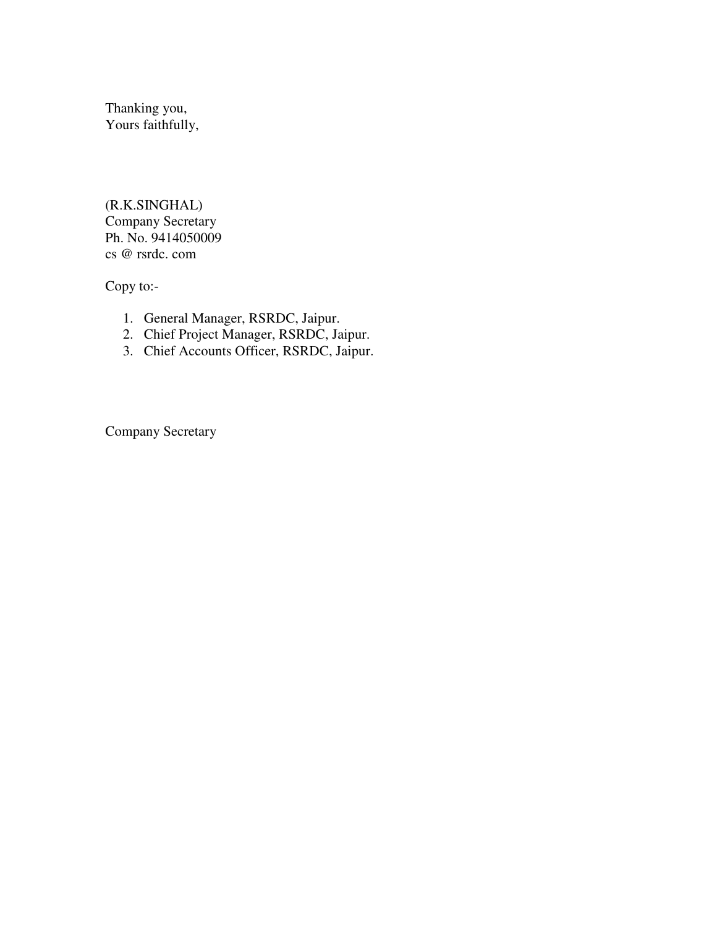Thanking you, Yours faithfully,

(R.K.SINGHAL) Company Secretary Ph. No. 9414050009 cs @ rsrdc. com

Copy to:-

- 1. General Manager, RSRDC, Jaipur.
- 2. Chief Project Manager, RSRDC, Jaipur.
- 3. Chief Accounts Officer, RSRDC, Jaipur.

Company Secretary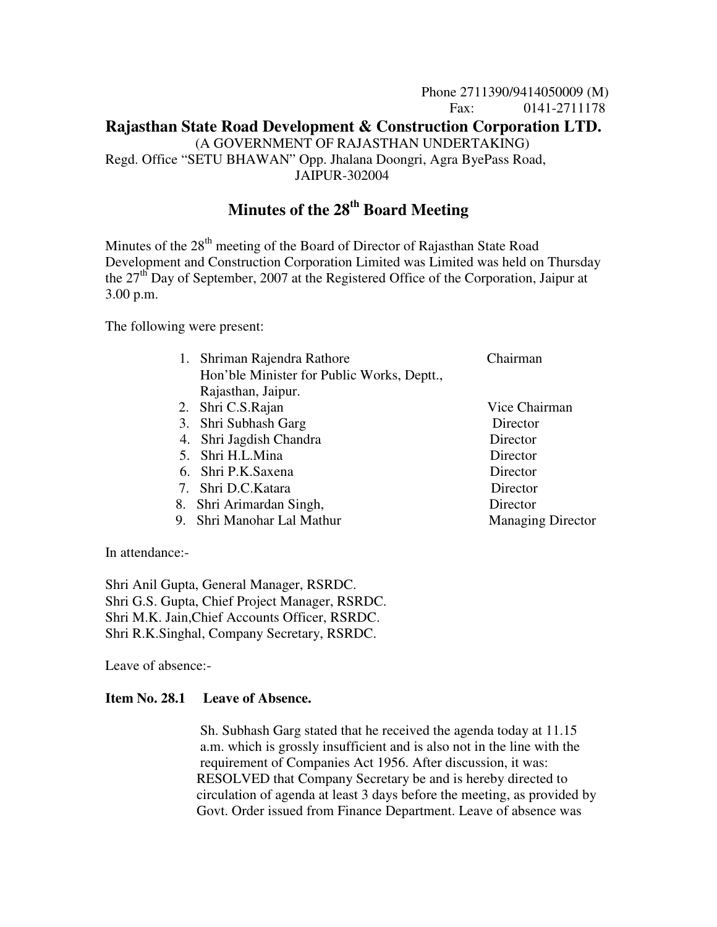# Phone 2711390/9414050009 (M) Fax: 0141-2711178 **Rajasthan State Road Development & Construction Corporation LTD.** (A GOVERNMENT OF RAJASTHAN UNDERTAKING) Regd. Office "SETU BHAWAN" Opp. Jhalana Doongri, Agra ByePass Road, JAIPUR-302004

# **Minutes of the 28th Board Meeting**

Minutes of the  $28<sup>th</sup>$  meeting of the Board of Director of Rajasthan State Road Development and Construction Corporation Limited was Limited was held on Thursday the  $27<sup>th</sup>$  Day of September, 2007 at the Registered Office of the Corporation, Jaipur at 3.00 p.m.

The following were present:

- 1. Shriman Rajendra Rathore Chairman Hon'ble Minister for Public Works, Deptt., Rajasthan, Jaipur.
- 2. Shri C.S.Rajan Vice Chairman
- 3. Shri Subhash Garg Director
- 4. Shri Jagdish Chandra Director
- 5. Shri H.L.Mina Director
- 6. Shri P.K.Saxena Director
- 7. Shri D.C.Katara Director
- 8. Shri Arimardan Singh, Director
- 9. Shri Manohar Lal Mathur Managing Director

In attendance:-

Shri Anil Gupta, General Manager, RSRDC. Shri G.S. Gupta, Chief Project Manager, RSRDC. Shri M.K. Jain,Chief Accounts Officer, RSRDC. Shri R.K.Singhal, Company Secretary, RSRDC.

Leave of absence:-

#### **Item No. 28.1 Leave of Absence.**

 Sh. Subhash Garg stated that he received the agenda today at 11.15 a.m. which is grossly insufficient and is also not in the line with the requirement of Companies Act 1956. After discussion, it was: RESOLVED that Company Secretary be and is hereby directed to circulation of agenda at least 3 days before the meeting, as provided by Govt. Order issued from Finance Department. Leave of absence was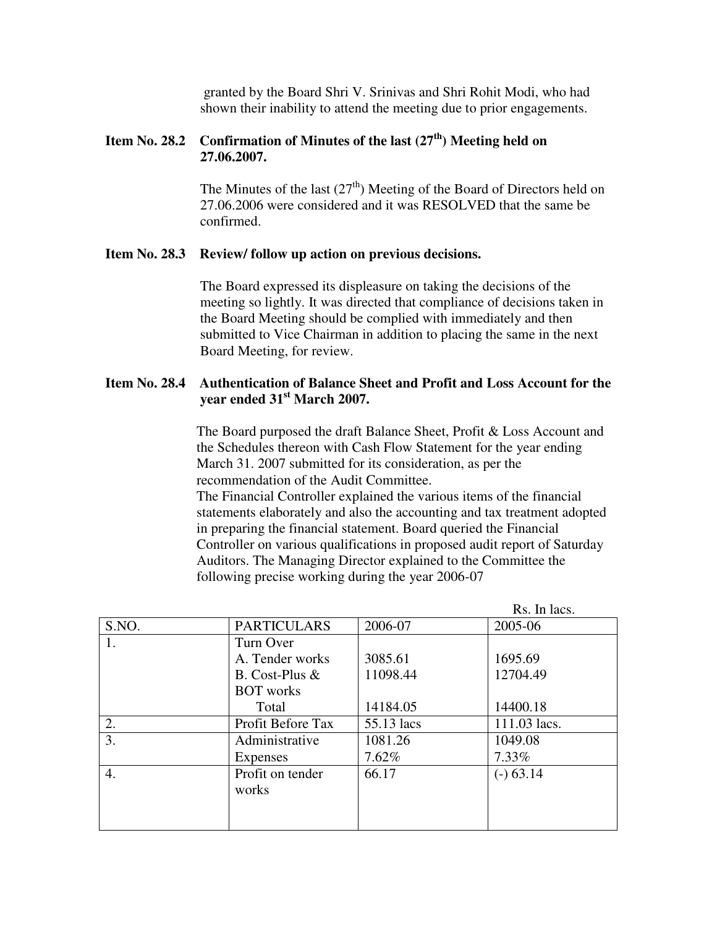granted by the Board Shri V. Srinivas and Shri Rohit Modi, who had shown their inability to attend the meeting due to prior engagements.

# **Item No. 28.2 Confirmation of Minutes of the last (27th) Meeting held on 27.06.2007.**

The Minutes of the last  $(27<sup>th</sup>)$  Meeting of the Board of Directors held on 27.06.2006 were considered and it was RESOLVED that the same be confirmed.

#### **Item No. 28.3 Review/ follow up action on previous decisions.**

 The Board expressed its displeasure on taking the decisions of the meeting so lightly. It was directed that compliance of decisions taken in the Board Meeting should be complied with immediately and then submitted to Vice Chairman in addition to placing the same in the next Board Meeting, for review.

## **Item No. 28.4 Authentication of Balance Sheet and Profit and Loss Account for the year ended 31st March 2007.**

The Board purposed the draft Balance Sheet, Profit & Loss Account and the Schedules thereon with Cash Flow Statement for the year ending March 31. 2007 submitted for its consideration, as per the recommendation of the Audit Committee.

 The Financial Controller explained the various items of the financial statements elaborately and also the accounting and tax treatment adopted in preparing the financial statement. Board queried the Financial Controller on various qualifications in proposed audit report of Saturday Auditors. The Managing Director explained to the Committee the following precise working during the year 2006-07

|       |                    |            | Rs. In lacs. |
|-------|--------------------|------------|--------------|
| S.NO. | <b>PARTICULARS</b> | 2006-07    | 2005-06      |
| 1.    | Turn Over          |            |              |
|       | A. Tender works    | 3085.61    | 1695.69      |
|       | B. Cost-Plus $&$   | 11098.44   | 12704.49     |
|       | <b>BOT</b> works   |            |              |
|       | Total              | 14184.05   | 14400.18     |
| 2.    | Profit Before Tax  | 55.13 lacs | 111.03 lacs. |
| 3.    | Administrative     | 1081.26    | 1049.08      |
|       | Expenses           | 7.62%      | 7.33%        |
| 4.    | Profit on tender   | 66.17      | $(-) 63.14$  |
|       | works              |            |              |
|       |                    |            |              |
|       |                    |            |              |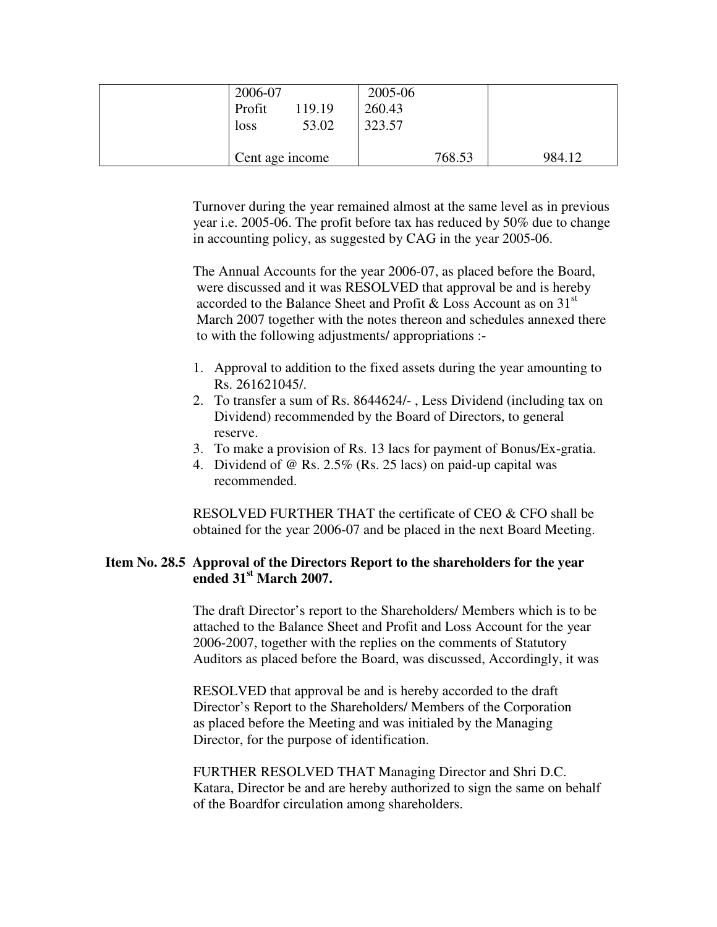| 2006-07<br>Profit<br>119.19<br>53.02<br>loss | 2005-06<br>260.43<br>323.57 |        |
|----------------------------------------------|-----------------------------|--------|
| Cent age income                              | 768.53                      | 984.12 |

 Turnover during the year remained almost at the same level as in previous year i.e. 2005-06. The profit before tax has reduced by 50% due to change in accounting policy, as suggested by CAG in the year 2005-06.

 The Annual Accounts for the year 2006-07, as placed before the Board, were discussed and it was RESOLVED that approval be and is hereby accorded to the Balance Sheet and Profit & Loss Account as on  $31<sup>st</sup>$  March 2007 together with the notes thereon and schedules annexed there to with the following adjustments/ appropriations :-

- 1. Approval to addition to the fixed assets during the year amounting to Rs. 261621045/.
- 2. To transfer a sum of Rs. 8644624/- , Less Dividend (including tax on Dividend) recommended by the Board of Directors, to general reserve.
- 3. To make a provision of Rs. 13 lacs for payment of Bonus/Ex-gratia.
- 4. Dividend of @ Rs. 2.5% (Rs. 25 lacs) on paid-up capital was recommended.

 RESOLVED FURTHER THAT the certificate of CEO & CFO shall be obtained for the year 2006-07 and be placed in the next Board Meeting.

## **Item No. 28.5 Approval of the Directors Report to the shareholders for the year ended 31st March 2007.**

The draft Director's report to the Shareholders/ Members which is to be attached to the Balance Sheet and Profit and Loss Account for the year 2006-2007, together with the replies on the comments of Statutory Auditors as placed before the Board, was discussed, Accordingly, it was

 RESOLVED that approval be and is hereby accorded to the draft Director's Report to the Shareholders/ Members of the Corporation as placed before the Meeting and was initialed by the Managing Director, for the purpose of identification.

 FURTHER RESOLVED THAT Managing Director and Shri D.C. Katara, Director be and are hereby authorized to sign the same on behalf of the Boardfor circulation among shareholders.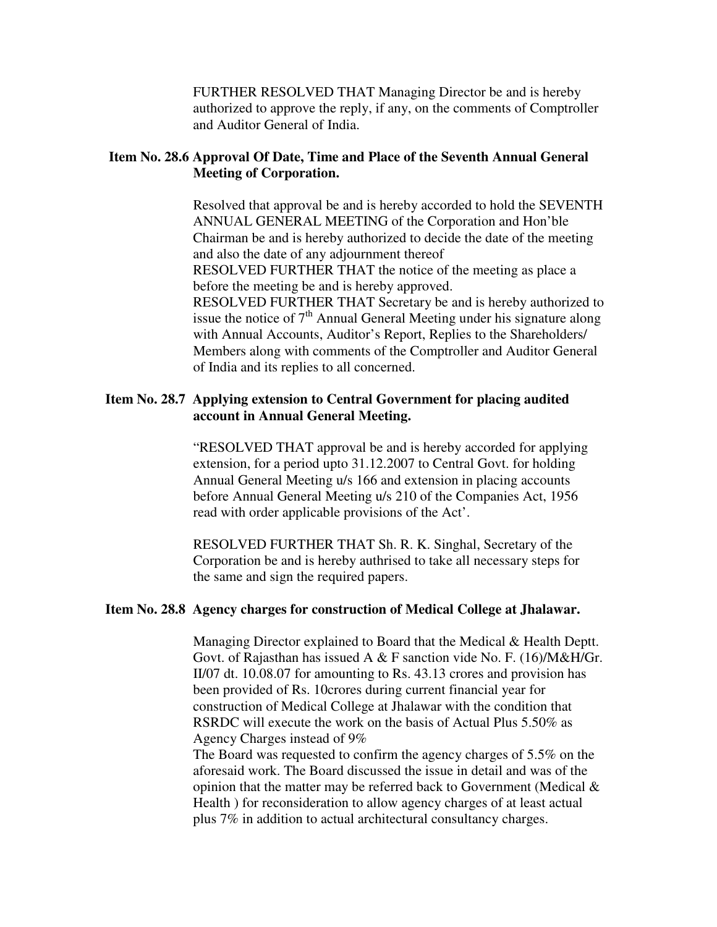FURTHER RESOLVED THAT Managing Director be and is hereby authorized to approve the reply, if any, on the comments of Comptroller and Auditor General of India.

# **Item No. 28.6 Approval Of Date, Time and Place of the Seventh Annual General Meeting of Corporation.**

Resolved that approval be and is hereby accorded to hold the SEVENTH ANNUAL GENERAL MEETING of the Corporation and Hon'ble Chairman be and is hereby authorized to decide the date of the meeting and also the date of any adjournment thereof RESOLVED FURTHER THAT the notice of the meeting as place a before the meeting be and is hereby approved. RESOLVED FURTHER THAT Secretary be and is hereby authorized to issue the notice of  $7<sup>th</sup>$  Annual General Meeting under his signature along with Annual Accounts, Auditor's Report, Replies to the Shareholders/ Members along with comments of the Comptroller and Auditor General of India and its replies to all concerned.

#### **Item No. 28.7 Applying extension to Central Government for placing audited account in Annual General Meeting.**

 "RESOLVED THAT approval be and is hereby accorded for applying extension, for a period upto 31.12.2007 to Central Govt. for holding Annual General Meeting u/s 166 and extension in placing accounts before Annual General Meeting u/s 210 of the Companies Act, 1956 read with order applicable provisions of the Act'.

 RESOLVED FURTHER THAT Sh. R. K. Singhal, Secretary of the Corporation be and is hereby authrised to take all necessary steps for the same and sign the required papers.

#### **Item No. 28.8 Agency charges for construction of Medical College at Jhalawar.**

Managing Director explained to Board that the Medical & Health Deptt. Govt. of Rajasthan has issued A & F sanction vide No. F. (16)/M&H/Gr. II/07 dt. 10.08.07 for amounting to Rs. 43.13 crores and provision has been provided of Rs. 10crores during current financial year for construction of Medical College at Jhalawar with the condition that RSRDC will execute the work on the basis of Actual Plus 5.50% as Agency Charges instead of 9%

 The Board was requested to confirm the agency charges of 5.5% on the aforesaid work. The Board discussed the issue in detail and was of the opinion that the matter may be referred back to Government (Medical  $\&$  Health ) for reconsideration to allow agency charges of at least actual plus 7% in addition to actual architectural consultancy charges.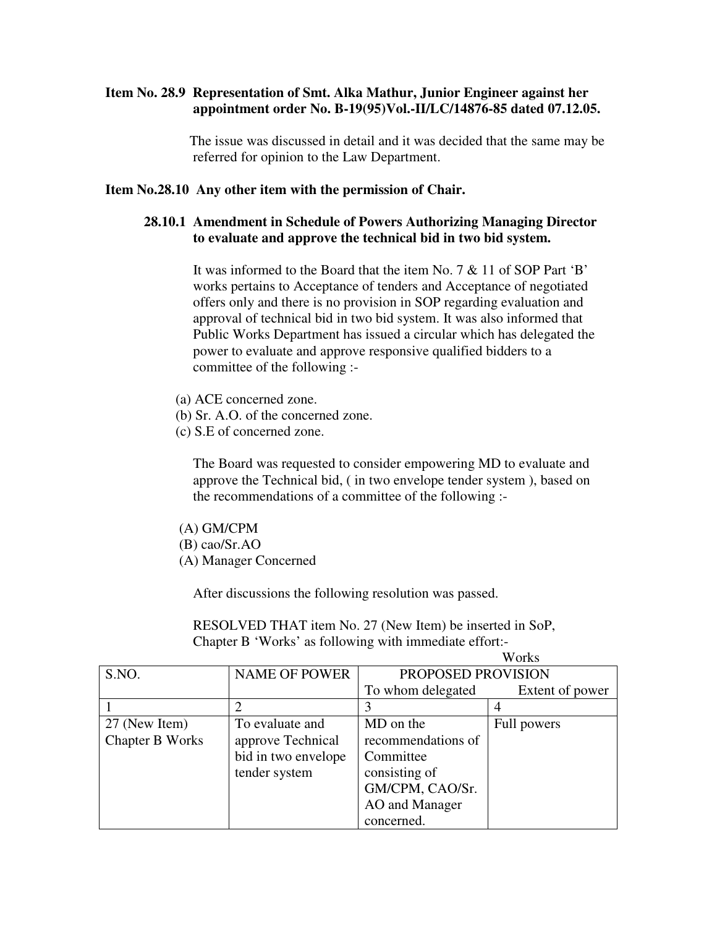#### **Item No. 28.9 Representation of Smt. Alka Mathur, Junior Engineer against her appointment order No. B-19(95)Vol.-II/LC/14876-85 dated 07.12.05.**

 The issue was discussed in detail and it was decided that the same may be referred for opinion to the Law Department.

#### **Item No.28.10 Any other item with the permission of Chair.**

#### **28.10.1 Amendment in Schedule of Powers Authorizing Managing Director to evaluate and approve the technical bid in two bid system.**

It was informed to the Board that the item No. 7 & 11 of SOP Part 'B' works pertains to Acceptance of tenders and Acceptance of negotiated offers only and there is no provision in SOP regarding evaluation and approval of technical bid in two bid system. It was also informed that Public Works Department has issued a circular which has delegated the power to evaluate and approve responsive qualified bidders to a committee of the following :-

- (a) ACE concerned zone.
- (b) Sr. A.O. of the concerned zone.
- (c) S.E of concerned zone.

The Board was requested to consider empowering MD to evaluate and approve the Technical bid, ( in two envelope tender system ), based on the recommendations of a committee of the following :-

- (A) GM/CPM
- (B) cao/Sr.AO
- (A) Manager Concerned

After discussions the following resolution was passed.

 RESOLVED THAT item No. 27 (New Item) be inserted in SoP, Chapter B 'Works' as following with immediate effort:-

|                        |                      | Works              |                 |
|------------------------|----------------------|--------------------|-----------------|
| S.NO.                  | <b>NAME OF POWER</b> | PROPOSED PROVISION |                 |
|                        |                      | To whom delegated  | Extent of power |
|                        |                      | 3                  |                 |
| 27 (New Item)          | To evaluate and      | MD on the          | Full powers     |
| <b>Chapter B Works</b> | approve Technical    | recommendations of |                 |
|                        | bid in two envelope  | Committee          |                 |
|                        | tender system        | consisting of      |                 |
|                        |                      | GM/CPM, CAO/Sr.    |                 |
|                        |                      | AO and Manager     |                 |
|                        |                      | concerned.         |                 |